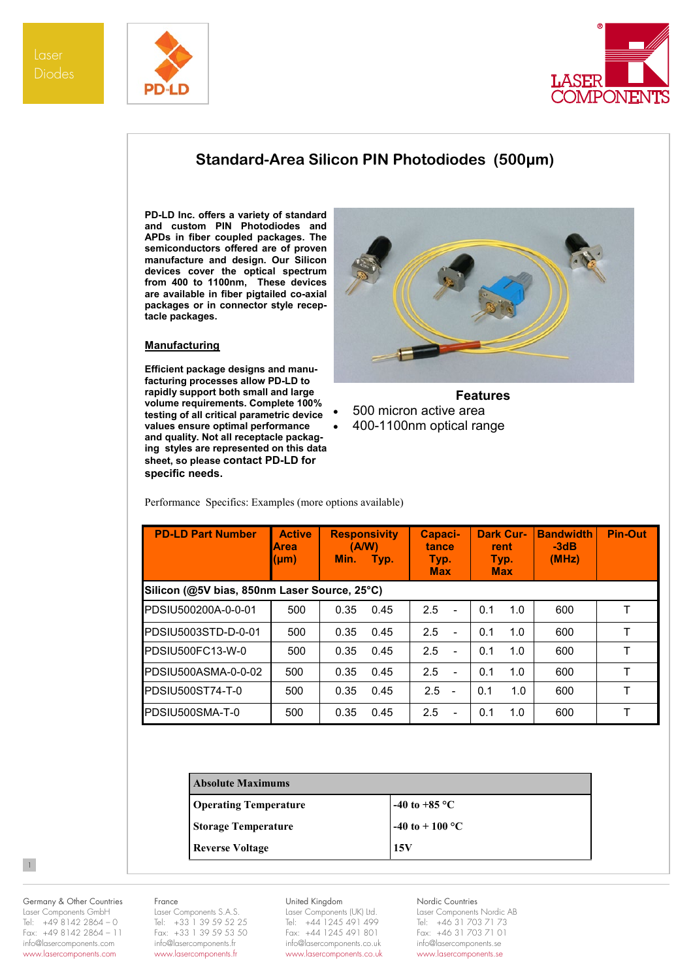



## **Standard-Area Silicon PIN Photodiodes (500µm)**

**PD-LD Inc. offers a variety of standard and custom PIN Photodiodes and APDs in fiber coupled packages. The semiconductors offered are of proven manufacture and design. Our Silicon devices cover the optical spectrum from 400 to 1100nm, These devices are available in fiber pigtailed co-axial packages or in connector style receptacle packages.**

### **Manufacturing**

**Efficient package designs and manufacturing processes allow PD-LD to rapidly support both small and large volume requirements. Complete 100% testing of all critical parametric device values ensure optimal performance and quality. Not all receptacle packaging styles are represented on this data sheet, so please contact PD-LD for specific needs.**



**Features**

- 500 micron active area
- 400-1100nm optical range

**PD-LD Part Number | Active Area (μm) Responsivity (A/W) Min. Typ. Capacitance Typ. Max Dark Current Typ. Max Bandwidth -3dB (MHz) Pin-Out Silicon (@5V bias, 850nm Laser Source, 25°C)**  PDSIU500200A-0-0-01 500 0.35 0.45 2.5 - 0.1 1.0 600 T PDSIU5003STD-D-0-01 | 500 | 0.35 0.45 | 2.5 - | 0.1 1.0 | 600 | T PDSIU500FC13-W-0 500 0.35 0.45 2.5 - 0.1 1.0 600 T PDSIU500ASMA-0-0-02 | 500 | 0.35 0.45 | 2.5 - | 0.1 1.0 | 600 | T PDSIU500ST74-T-0 500 0.35 0.45 2.5 - 0.1 1.0 600 T PDSIU500SMA-T-0 500 0.35 0.45 2.5 - 0.1 1.0 600 T

Performance Specifics: Examples (more options available)

| <b>Absolute Maximums</b>     |                           |
|------------------------------|---------------------------|
| <b>Operating Temperature</b> | -40 to +85 $^{\circ}$ C   |
| <b>Storage Temperature</b>   | -40 to + 100 $^{\circ}$ C |
| <b>Reverse Voltage</b>       | 15V                       |

# Germany & Other Countries

Laser Components GmbH Tel: +49 8142 2864 – 0 Fax: +49 8142 2864 – 11 info@lasercomponents.com www.lasercomponents.com

 $\vert 1 \vert$ 

#### France

Laser Components S.A.S. Tel: +33 1 39 59 52 25 Fax: +33 1 39 59 53 50 info@lasercomponents.fr www.lasercomponents.fr

## United Kingdom

Laser Components (UK) Ltd. Tel: +44 1245 491 499 Fax: +44 1245 491 801 info@lasercomponents.co.uk www.lasercomponents.co.uk

#### Nordic Countries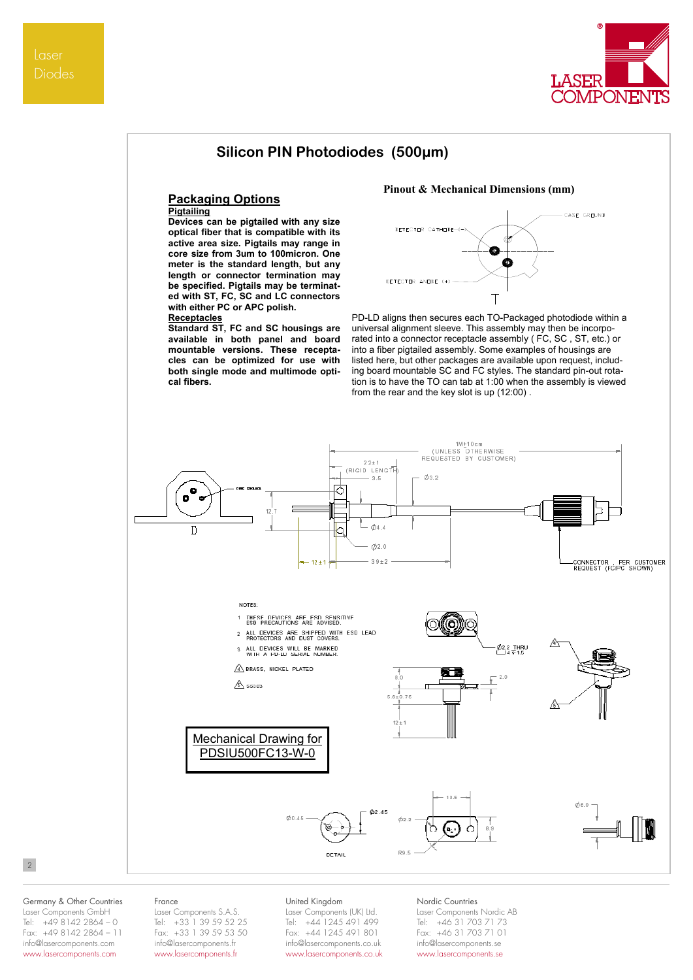

## **Silicon PIN Photodiodes (500µm)**

## **Packaging Options**

## **Pigtailing**

**Devices can be pigtailed with any size optical fiber that is compatible with its active area size. Pigtails may range in core size from 3um to 100micron. One meter is the standard length, but any length or connector termination may be specified. Pigtails may be terminated with ST, FC, SC and LC connectors with either PC or APC polish.** 

#### **Receptacles**

**Standard ST, FC and SC housings are available in both panel and board mountable versions. These receptacles can be optimized for use with both single mode and multimode optical fibers.**

#### **Pinout & Mechanical Dimensions (mm)**



PD-LD aligns then secures each TO-Packaged photodiode within a universal alignment sleeve. This assembly may then be incorporated into a connector receptacle assembly ( FC, SC , ST, etc.) or into a fiber pigtailed assembly. Some examples of housings are listed here, but other packages are available upon request, including board mountable SC and FC styles. The standard pin-out rotation is to have the TO can tab at 1:00 when the assembly is viewed from the rear and the key slot is up (12:00) .



### 2

#### Germany & Other Countries Laser Components GmbH Tel: +49 8142 2864 – 0 Fax: +49 8142 2864 – 11 info@lasercomponents.com www.lasercomponents.com

#### France

Laser Components S.A.S. Tel: +33 1 39 59 52 25 Fax: +33 1 39 59 53 50 info@lasercomponents.fr www.lasercomponents.fr

### United Kingdom

Laser Components (UK) Ltd. Tel: +44 1245 491 499 Fax: +44 1245 491 801 info@lasercomponents.co.uk www.lasercomponents.co.uk

#### Nordic Countries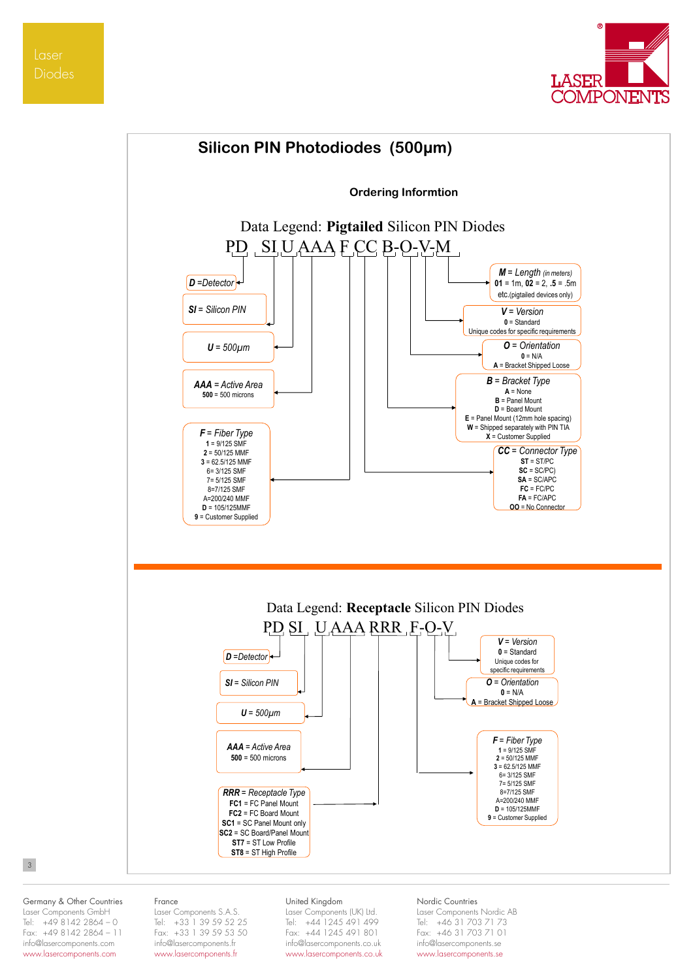Laser Diodes





## 3

Germany & Other Countries Laser Components GmbH Tel: +49 8142 2864 – 0 Fax: +49 8142 2864 – 11 info@lasercomponents.com www.lasercomponents.com

#### France

Laser Components S.A.S. Tel: +33 1 39 59 52 25 Fax: +33 1 39 59 53 50 info@lasercomponents.fr www.lasercomponents.fr

#### United Kingdom

Laser Components (UK) Ltd. Tel: +44 1245 491 499 Fax: +44 1245 491 801 info@lasercomponents.co.uk www.lasercomponents.co.uk

### Nordic Countries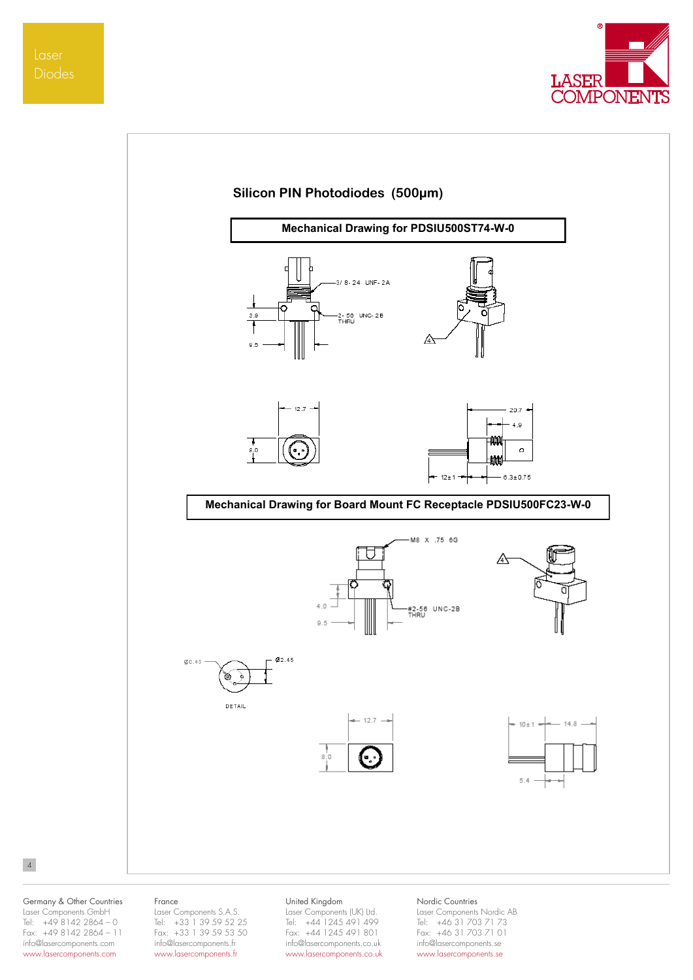Diodes





#### Germany & Other Countries Laser Components GmbH Tel: +49 8142 2864 – 0 Fax: +49 8142 2864 – 11 info@lasercomponents.com www.lasercomponents.com

4

#### France

Laser Components S.A.S. Tel: +33 1 39 59 52 25 Fax: +33 1 39 59 53 50 info@lasercomponents.fr www.lasercomponents.fr

## United Kingdom

Laser Components (UK) Ltd. Tel: +44 1245 491 499 Fax: +44 1245 491 801 info@lasercomponents.co.uk www.lasercomponents.co.uk

### Nordic Countries